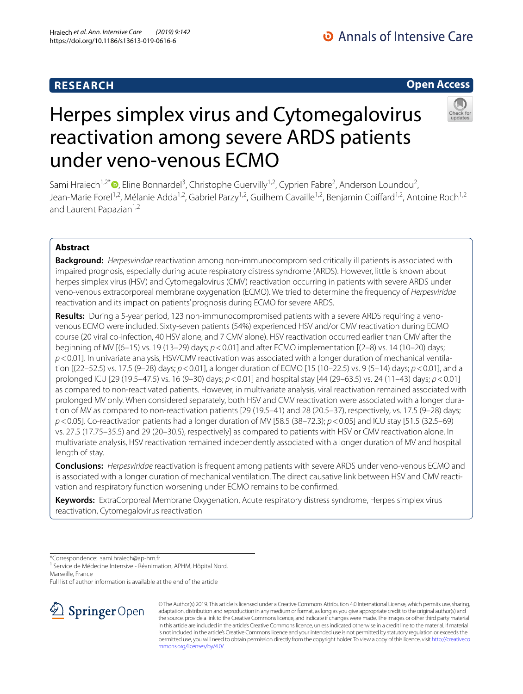## **RESEARCH**

## **Open Access**



# Herpes simplex virus and Cytomegalovirus reactivation among severe ARDS patients under veno-venous ECMO

Sami Hraiech<sup>1,2\*</sup><sup>®</sup>[,](http://orcid.org/0000-0003-4652-1664) Eline Bonnardel<sup>3</sup>, Christophe Guervilly<sup>1,2</sup>, Cyprien Fabre<sup>2</sup>, Anderson Loundou<sup>2</sup>, Jean-Marie Forel<sup>1,2</sup>, Mélanie Adda<sup>1,2</sup>, Gabriel Parzy<sup>1,2</sup>, Guilhem Cavaille<sup>1,2</sup>, Benjamin Coiffard<sup>1,2</sup>, Antoine Roch<sup>1,2</sup> and Laurent Papazian<sup>1,2</sup>

## **Abstract**

**Background:** *Herpesviridae* reactivation among non-immunocompromised critically ill patients is associated with impaired prognosis, especially during acute respiratory distress syndrome (ARDS). However, little is known about herpes simplex virus (HSV) and Cytomegalovirus (CMV) reactivation occurring in patients with severe ARDS under veno-venous extracorporeal membrane oxygenation (ECMO). We tried to determine the frequency of *Herpesviridae* reactivation and its impact on patients' prognosis during ECMO for severe ARDS.

**Results:** During a 5-year period, 123 non-immunocompromised patients with a severe ARDS requiring a venovenous ECMO were included. Sixty-seven patients (54%) experienced HSV and/or CMV reactivation during ECMO course (20 viral co-infection, 40 HSV alone, and 7 CMV alone). HSV reactivation occurred earlier than CMV after the beginning of MV [(6–15) vs. 19 (13–29) days; *p*<0.01] and after ECMO implementation [(2–8) vs. 14 (10–20) days; *p*<0.01]. In univariate analysis, HSV/CMV reactivation was associated with a longer duration of mechanical ventila‑ tion [(22–52.5) vs. 17.5 (9–28) days; *p*<0.01], a longer duration of ECMO [15 (10–22.5) vs. 9 (5–14) days; *p*<0.01], and a prolonged ICU [29 (19.5–47.5) vs. 16 (9–30) days; *p*<0.01] and hospital stay [44 (29–63.5) vs. 24 (11–43) days; *p*<0.01] as compared to non-reactivated patients. However, in multivariate analysis, viral reactivation remained associated with prolonged MV only. When considered separately, both HSV and CMV reactivation were associated with a longer duration of MV as compared to non-reactivation patients [29 (19.5–41) and 28 (20.5–37), respectively, vs. 17.5 (9–28) days; *p*<0.05]. Co-reactivation patients had a longer duration of MV [58.5 (38–72.3); *p*<0.05] and ICU stay [51.5 (32.5–69) vs. 27.5 (17.75–35.5) and 29 (20–30.5), respectively] as compared to patients with HSV or CMV reactivation alone. In multivariate analysis, HSV reactivation remained independently associated with a longer duration of MV and hospital length of stay.

**Conclusions:** *Herpesviridae* reactivation is frequent among patients with severe ARDS under veno-venous ECMO and is associated with a longer duration of mechanical ventilation. The direct causative link between HSV and CMV reactivation and respiratory function worsening under ECMO remains to be confrmed.

**Keywords:** ExtraCorporeal Membrane Oxygenation, Acute respiratory distress syndrome, Herpes simplex virus reactivation, Cytomegalovirus reactivation

\*Correspondence: sami.hraiech@ap‑hm.fr

<sup>1</sup> Service de Médecine Intensive - Réanimation, APHM, Hôpital Nord, Marseille, France

Full list of author information is available at the end of the article



© The Author(s) 2019. This article is licensed under a Creative Commons Attribution 4.0 International License, which permits use, sharing, adaptation, distribution and reproduction in any medium or format, as long as you give appropriate credit to the original author(s) and the source, provide a link to the Creative Commons licence, and indicate if changes were made. The images or other third party material in this article are included in the article's Creative Commons licence, unless indicated otherwise in a credit line to the material. If material is not included in the article's Creative Commons licence and your intended use is not permitted by statutory regulation or exceeds the permitted use, you will need to obtain permission directly from the copyright holder. To view a copy of this licence, visit [http://creativeco](http://creativecommons.org/licenses/by/4.0/) [mmons.org/licenses/by/4.0/.](http://creativecommons.org/licenses/by/4.0/)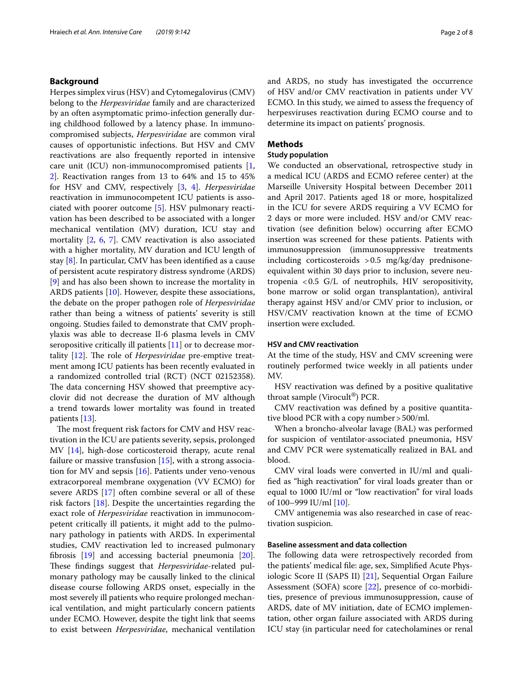## **Background**

Herpes simplex virus (HSV) and Cytomegalovirus (CMV) belong to the *Herpesviridae* family and are characterized by an often asymptomatic primo-infection generally during childhood followed by a latency phase. In immunocompromised subjects, *Herpesviridae* are common viral causes of opportunistic infections. But HSV and CMV reactivations are also frequently reported in intensive care unit (ICU) non-immunocompromised patients [\[1](#page-6-0), [2\]](#page-6-1). Reactivation ranges from 13 to 64% and 15 to 45% for HSV and CMV, respectively [\[3](#page-6-2), [4\]](#page-6-3). *Herpesviridae* reactivation in immunocompetent ICU patients is associated with poorer outcome [\[5](#page-6-4)]. HSV pulmonary reactivation has been described to be associated with a longer mechanical ventilation (MV) duration, ICU stay and mortality [[2,](#page-6-1) [6,](#page-6-5) [7](#page-6-6)]. CMV reactivation is also associated with a higher mortality, MV duration and ICU length of stay [\[8](#page-6-7)]. In particular, CMV has been identifed as a cause of persistent acute respiratory distress syndrome (ARDS) [[9\]](#page-6-8) and has also been shown to increase the mortality in ARDS patients [\[10](#page-6-9)]. However, despite these associations, the debate on the proper pathogen role of *Herpesviridae* rather than being a witness of patients' severity is still ongoing. Studies failed to demonstrate that CMV prophylaxis was able to decrease Il-6 plasma levels in CMV seropositive critically ill patients [[11](#page-7-0)] or to decrease mor-tality [\[12](#page-7-1)]. The role of *Herpesviridae* pre-emptive treatment among ICU patients has been recently evaluated in a randomized controlled trial (RCT) (NCT 02152358). The data concerning HSV showed that preemptive acyclovir did not decrease the duration of MV although a trend towards lower mortality was found in treated patients [[13\]](#page-7-2).

The most frequent risk factors for CMV and HSV reactivation in the ICU are patients severity, sepsis, prolonged MV [\[14](#page-7-3)], high-dose corticosteroid therapy, acute renal failure or massive transfusion  $[15]$  $[15]$ , with a strong association for MV and sepsis [[16](#page-7-5)]. Patients under veno-venous extracorporeal membrane oxygenation (VV ECMO) for severe ARDS [\[17](#page-7-6)] often combine several or all of these risk factors [\[18](#page-7-7)]. Despite the uncertainties regarding the exact role of *Herpesviridae* reactivation in immunocompetent critically ill patients, it might add to the pulmonary pathology in patients with ARDS. In experimental studies, CMV reactivation led to increased pulmonary fbrosis [\[19](#page-7-8)] and accessing bacterial pneumonia [\[20](#page-7-9)]. These findings suggest that *Herpesviridae-related* pulmonary pathology may be causally linked to the clinical disease course following ARDS onset, especially in the most severely ill patients who require prolonged mechanical ventilation, and might particularly concern patients under ECMO. However, despite the tight link that seems to exist between *Herpesviridae*, mechanical ventilation and ARDS, no study has investigated the occurrence of HSV and/or CMV reactivation in patients under VV ECMO. In this study, we aimed to assess the frequency of herpesviruses reactivation during ECMO course and to determine its impact on patients' prognosis.

#### **Methods**

#### **Study population**

We conducted an observational, retrospective study in a medical ICU (ARDS and ECMO referee center) at the Marseille University Hospital between December 2011 and April 2017. Patients aged 18 or more, hospitalized in the ICU for severe ARDS requiring a VV ECMO for 2 days or more were included. HSV and/or CMV reactivation (see defnition below) occurring after ECMO insertion was screened for these patients. Patients with immunosuppression (immunosuppressive treatments including corticosteroids >0.5 mg/kg/day prednisoneequivalent within 30 days prior to inclusion, severe neutropenia <0.5 G/L of neutrophils, HIV seropositivity, bone marrow or solid organ transplantation), antiviral therapy against HSV and/or CMV prior to inclusion, or HSV/CMV reactivation known at the time of ECMO insertion were excluded.

## **HSV and CMV reactivation**

At the time of the study, HSV and CMV screening were routinely performed twice weekly in all patients under MV.

HSV reactivation was defned by a positive qualitative throat sample (Virocult®) PCR.

CMV reactivation was defned by a positive quantitative blood PCR with a copy number > 500/ml.

When a broncho-alveolar lavage (BAL) was performed for suspicion of ventilator-associated pneumonia, HSV and CMV PCR were systematically realized in BAL and blood.

CMV viral loads were converted in IU/ml and qualifed as "high reactivation" for viral loads greater than or equal to 1000 IU/ml or "low reactivation" for viral loads of 100–999 IU/ml [\[10](#page-6-9)].

CMV antigenemia was also researched in case of reactivation suspicion.

## **Baseline assessment and data collection**

The following data were retrospectively recorded from the patients' medical fle: age, sex, Simplifed Acute Physiologic Score II (SAPS II) [[21](#page-7-10)], Sequential Organ Failure Assessment (SOFA) score [\[22\]](#page-7-11), presence of co-morbidities, presence of previous immunosuppression, cause of ARDS, date of MV initiation, date of ECMO implementation, other organ failure associated with ARDS during ICU stay (in particular need for catecholamines or renal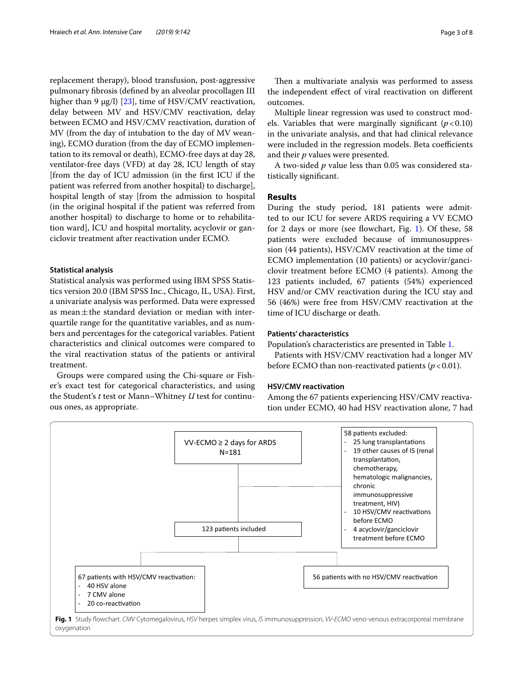replacement therapy), blood transfusion, post-aggressive pulmonary fbrosis (defned by an alveolar procollagen III higher than 9  $\mu$ g/l) [[23](#page-7-12)], time of HSV/CMV reactivation, delay between MV and HSV/CMV reactivation, delay between ECMO and HSV/CMV reactivation, duration of MV (from the day of intubation to the day of MV weaning), ECMO duration (from the day of ECMO implementation to its removal or death), ECMO-free days at day 28, ventilator-free days (VFD) at day 28, ICU length of stay [from the day of ICU admission (in the frst ICU if the patient was referred from another hospital) to discharge], hospital length of stay [from the admission to hospital (in the original hospital if the patient was referred from another hospital) to discharge to home or to rehabilitation ward], ICU and hospital mortality, acyclovir or ganciclovir treatment after reactivation under ECMO.

#### **Statistical analysis**

Statistical analysis was performed using IBM SPSS Statistics version 20.0 (IBM SPSS Inc., Chicago, IL, USA). First, a univariate analysis was performed. Data were expressed as mean $\pm$ the standard deviation or median with interquartile range for the quantitative variables, and as numbers and percentages for the categorical variables. Patient characteristics and clinical outcomes were compared to the viral reactivation status of the patients or antiviral treatment.

Groups were compared using the Chi-square or Fisher's exact test for categorical characteristics, and using the Student's *t* test or Mann–Whitney *U* test for continuous ones, as appropriate.

Then a multivariate analysis was performed to assess the independent efect of viral reactivation on diferent outcomes.

Multiple linear regression was used to construct models. Variables that were marginally significant  $(p<0.10)$ in the univariate analysis, and that had clinical relevance were included in the regression models. Beta coefficients and their *p* values were presented.

A two-sided *p* value less than 0.05 was considered statistically signifcant.

## **Results**

During the study period, 181 patients were admitted to our ICU for severe ARDS requiring a VV ECMO for 2 days or more (see fowchart, Fig. [1\)](#page-2-0). Of these, 58 patients were excluded because of immunosuppression (44 patients), HSV/CMV reactivation at the time of ECMO implementation (10 patients) or acyclovir/ganciclovir treatment before ECMO (4 patients). Among the 123 patients included, 67 patients (54%) experienced HSV and/or CMV reactivation during the ICU stay and 56 (46%) were free from HSV/CMV reactivation at the time of ICU discharge or death.

## **Patients' characteristics**

Population's characteristics are presented in Table [1](#page-3-0).

Patients with HSV/CMV reactivation had a longer MV before ECMO than non-reactivated patients  $(p < 0.01)$ .

## **HSV/CMV reactivation**

Among the 67 patients experiencing HSV/CMV reactivation under ECMO, 40 had HSV reactivation alone, 7 had

<span id="page-2-0"></span>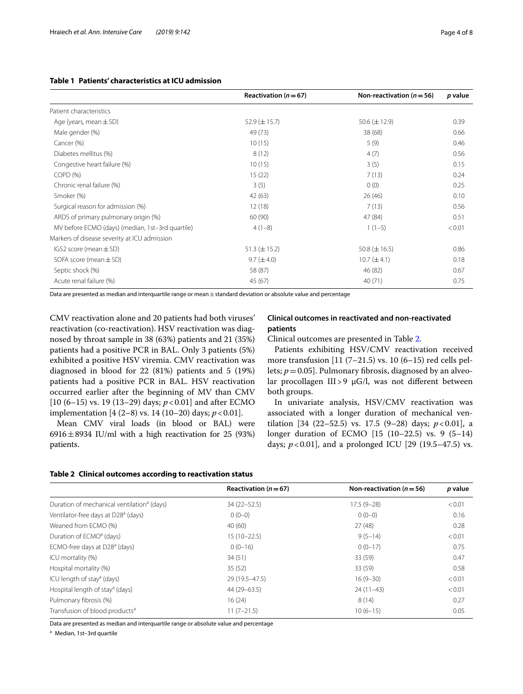## <span id="page-3-0"></span>**Table 1 Patients' characteristics at ICU admission**

|                                                  | Reactivation ( $n = 67$ ) | Non-reactivation ( $n = 56$ ) | p value |
|--------------------------------------------------|---------------------------|-------------------------------|---------|
| Patient characteristics                          |                           |                               |         |
| Age (years, mean $\pm$ SD)                       | $52.9 \ (\pm 15.7)$       | $50.6 (\pm 12.9)$             | 0.39    |
| Male gender (%)                                  | 49 (73)                   | 38 (68)                       | 0.66    |
| Cancer (%)                                       | 10(15)                    | 5(9)                          | 0.46    |
| Diabetes mellitus (%)                            | 8(12)                     | 4(7)                          | 0.56    |
| Congestive heart failure (%)                     | 10(15)                    | 3(5)                          | 0.15    |
| COPD <sub>(</sub> %)                             | 15(22)                    | 7(13)                         | 0.24    |
| Chronic renal failure (%)                        | 3(5)                      | 0(0)                          | 0.25    |
| Smoker (%)                                       | 42 (63)                   | 26(46)                        | 0.10    |
| Surgical reason for admission (%)                | 12(18)                    | 7(13)                         | 0.56    |
| ARDS of primary pulmonary origin (%)             | 60 (90)                   | 47 (84)                       | 0.51    |
| MV before ECMO (days) (median, 1st-3rd quartile) | $4(1-8)$                  | $1(1-5)$                      | < 0.01  |
| Markers of disease severity at ICU admission     |                           |                               |         |
| IGS2 score (mean $\pm$ SD)                       | $51.3 (\pm 15.2)$         | 50.8 $(\pm 16.5)$             | 0.86    |
| SOFA score (mean $\pm$ SD)                       | $9.7 (\pm 4.0)$           | $10.7 (\pm 4.1)$              | 0.18    |
| Septic shock (%)                                 | 58 (87)                   | 46 (82)                       | 0.67    |
| Acute renal failure (%)                          | 45 (67)                   | 40(71)                        | 0.75    |
|                                                  |                           |                               |         |

Data are presented as median and interquartile range or mean  $\pm$  standard deviation or absolute value and percentage

CMV reactivation alone and 20 patients had both viruses' reactivation (co-reactivation). HSV reactivation was diagnosed by throat sample in 38 (63%) patients and 21 (35%) patients had a positive PCR in BAL. Only 3 patients (5%) exhibited a positive HSV viremia. CMV reactivation was diagnosed in blood for 22 (81%) patients and 5 (19%) patients had a positive PCR in BAL. HSV reactivation occurred earlier after the beginning of MV than CMV [10 (6–15) vs. 19 (13–29) days; *p*<0.01] and after ECMO implementation  $[4 (2-8) \text{ vs. } 14 (10-20) \text{ days}; p < 0.01]$ .

Mean CMV viral loads (in blood or BAL) were 6916 $\pm$ 8934 IU/ml with a high reactivation for 25 (93%) patients.

## **Clinical outcomes in reactivated and non‑reactivated patients**

Clinical outcomes are presented in Table [2.](#page-3-1)

Patients exhibiting HSV/CMV reactivation received more transfusion  $[11 (7–21.5)$  vs. 10  $(6–15)$  red cells pellets;  $p = 0.05$ ]. Pulmonary fibrosis, diagnosed by an alveolar procollagen III>9  $\mu$ G/l, was not different between both groups.

In univariate analysis, HSV/CMV reactivation was associated with a longer duration of mechanical ventilation [34 (22–52.5) vs. 17.5 (9–28) days; *p*<0.01], a longer duration of ECMO [15 (10–22.5) vs. 9 (5–14) days;  $p < 0.01$ ], and a prolonged ICU [29 (19.5–47.5) vs.

#### <span id="page-3-1"></span>**Table 2 Clinical outcomes according to reactivation status**

|                                                        | Reactivation ( $n = 67$ ) | Non-reactivation ( $n = 56$ ) | p value |
|--------------------------------------------------------|---------------------------|-------------------------------|---------|
| Duration of mechanical ventilation <sup>a</sup> (days) | $34(22 - 52.5)$           | $17.5(9-28)$                  | < 0.01  |
| Ventilator-free days at D28 <sup>ª</sup> (days)        | $0(0-0)$                  | $0(0-0)$                      | 0.16    |
| Weaned from ECMO (%)                                   | 40(60)                    | 27(48)                        | 0.28    |
| Duration of ECMO <sup>a</sup> (days)                   | $15(10-22.5)$             | $9(5-14)$                     | < 0.01  |
| ECMO-free days at D28 <sup>a</sup> (days)              | $0(0-16)$                 | $0(0-17)$                     | 0.75    |
| ICU mortality (%)                                      | 34(51)                    | 33 (59)                       | 0.47    |
| Hospital mortality (%)                                 | 35(52)                    | 33 (59)                       | 0.58    |
| ICU length of stay <sup>a</sup> (days)                 | 29 (19.5 - 47.5)          | $16(9-30)$                    | < 0.01  |
| Hospital length of stay <sup>a</sup> (days)            | 44 (29 - 63.5)            | $24(11-43)$                   | < 0.01  |
| Pulmonary fibrosis (%)                                 | 16(24)                    | 8(14)                         | 0.27    |
| Transfusion of blood products <sup>a</sup>             | $11(7-21.5)$              | $10(6-15)$                    | 0.05    |

Data are presented as median and interquartile range or absolute value and percentage

<sup>a</sup> Median, 1st–3rd quartile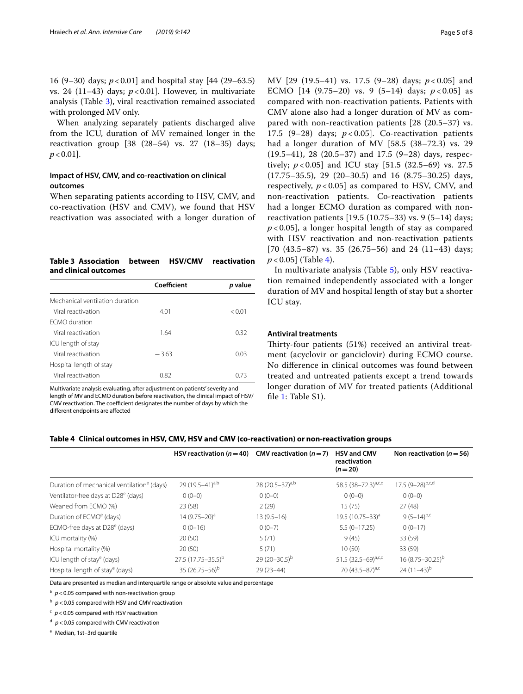16 (9–30) days; *p*<0.01] and hospital stay [44 (29–63.5) vs. 24 (11–43) days;  $p < 0.01$ ]. However, in multivariate analysis (Table [3](#page-4-0)), viral reactivation remained associated with prolonged MV only.

When analyzing separately patients discharged alive from the ICU, duration of MV remained longer in the reactivation group [38 (28–54) vs. 27 (18–35) days;  $p < 0.01$ ].

## **Impact of HSV, CMV, and co‑reactivation on clinical outcomes**

When separating patients according to HSV, CMV, and co-reactivation (HSV and CMV), we found that HSV reactivation was associated with a longer duration of

## <span id="page-4-0"></span>**Table 3 Association between HSV/CMV reactivation and clinical outcomes**

|                                 | Coefficient | <i>p</i> value |
|---------------------------------|-------------|----------------|
| Mechanical ventilation duration |             |                |
| Viral reactivation              | 4.01        | < 0.01         |
| <b>FCMO</b> duration            |             |                |
| Viral reactivation              | 1.64        | 0.32           |
| ICU length of stay              |             |                |
| Viral reactivation              | $-3.63$     | 0.03           |
| Hospital length of stay         |             |                |
| Viral reactivation              | 0.82        | 0.73           |

Multivariate analysis evaluating, after adjustment on patients' severity and length of MV and ECMO duration before reactivation, the clinical impact of HSV/ CMV reactivation. The coefficient designates the number of days by which the diferent endpoints are afected

MV [29 (19.5–41) vs. 17.5 (9–28) days; *p* < 0.05] and ECMO [14 (9.75–20) vs. 9 (5–14) days; *p* < 0.05] as compared with non-reactivation patients. Patients with CMV alone also had a longer duration of MV as compared with non-reactivation patients [28 (20.5–37) vs. 17.5  $(9-28)$  days;  $p < 0.05$ ]. Co-reactivation patients had a longer duration of MV [58.5 (38–72.3) vs. 29 (19.5–41), 28 (20.5–37) and 17.5 (9–28) days, respectively; *p* < 0.05] and ICU stay [51.5 (32.5–69) vs. 27.5 (17.75–35.5), 29 (20–30.5) and 16 (8.75–30.25) days, respectively,  $p < 0.05$ ] as compared to HSV, CMV, and non-reactivation patients. Co-reactivation patients had a longer ECMO duration as compared with nonreactivation patients [19.5 (10.75–33) vs. 9 (5–14) days; *p* < 0.05], a longer hospital length of stay as compared with HSV reactivation and non-reactivation patients [70 (43.5–87) vs. 35 (26.75–56) and 24 (11–43) days;  $p < 0.05$ ] (Table [4](#page-4-1)).

In multivariate analysis (Table [5](#page-5-0)), only HSV reactivation remained independently associated with a longer duration of MV and hospital length of stay but a shorter ICU stay.

## **Antiviral treatments**

Thirty-four patients (51%) received an antiviral treatment (acyclovir or ganciclovir) during ECMO course. No diference in clinical outcomes was found between treated and untreated patients except a trend towards longer duration of MV for treated patients (Additional file [1](#page-6-10): Table S1).

#### <span id="page-4-1"></span>**Table 4 Clinical outcomes in HSV, CMV, HSV and CMV (co-reactivation) or non-reactivation groups**

|                                                        | HSV reactivation ( $n = 40$ ) | CMV reactivation $(n=7)$ | <b>HSV and CMV</b><br>reactivation<br>$(n=20)$ | Non reactivation ( $n = 56$ ) |
|--------------------------------------------------------|-------------------------------|--------------------------|------------------------------------------------|-------------------------------|
| Duration of mechanical ventilation <sup>e</sup> (days) | 29 (19.5–41) <sup>a,b</sup>   | 28 $(20.5-37)^{a,b}$     | 58.5 (38-72.3) <sup>a,c,d</sup>                | $17.5 (9 - 28)^{b,c,d}$       |
| Ventilator-free days at D28 <sup>e</sup> (days)        | $0(0-0)$                      | $0(0-0)$                 | $0(0-0)$                                       | $0(0-0)$                      |
| Weaned from ECMO (%)                                   | 23 (58)                       | 2(29)                    | 15(75)                                         | 27(48)                        |
| Duration of ECMO <sup>e</sup> (days)                   | $14(9.75-20)^a$               | $13(9.5-16)$             | 19.5 (10.75-33) <sup>a</sup>                   | 9 $(5-14)^{b,c}$              |
| ECMO-free days at D28 <sup>e</sup> (days)              | $0(0-16)$                     | $0(0-7)$                 | $5.5(0-17.25)$                                 | $0(0-17)$                     |
| ICU mortality (%)                                      | 20(50)                        | 5(71)                    | 9(45)                                          | 33 (59)                       |
| Hospital mortality (%)                                 | 20(50)                        | 5(71)                    | 10(50)                                         | 33 (59)                       |
| ICU length of stay <sup>e</sup> (days)                 | $27.5(17.75 - 35.5)^b$        | $29(20-30.5)^{b}$        | 51.5 $(32.5-69)^{a,c,d}$                       | $16(8.75 - 30.25)^{b}$        |
| Hospital length of stay <sup>e</sup> (days)            | 35 $(26.75-56)^b$             | $29(23 - 44)$            | 70 (43.5-87) <sup>a,c</sup>                    | 24 $(11-43)^{b}$              |

Data are presented as median and interquartile range or absolute value and percentage

 $a$   $p$  < 0.05 compared with non-reactivation group

<sup>b</sup>  $p$  < 0.05 compared with HSV and CMV reactivation

<sup>c</sup> *p*<0.05 compared with HSV reactivation

<sup>d</sup> *p*<0.05 compared with CMV reactivation

<sup>e</sup> Median, 1st–3rd quartile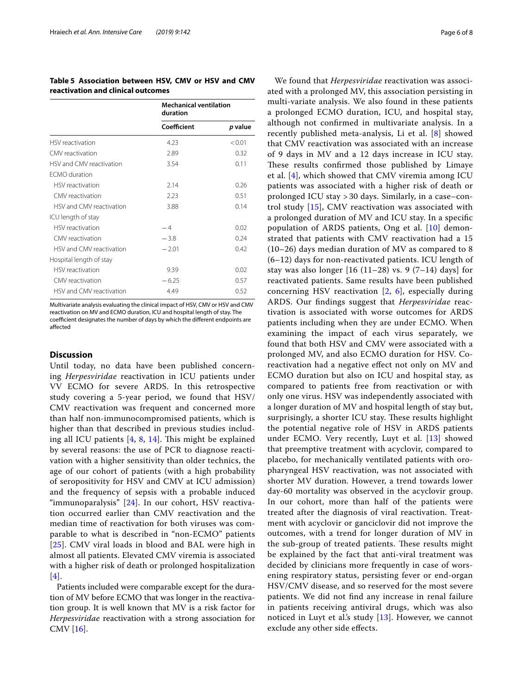<span id="page-5-0"></span>**Table 5 Association between HSV, CMV or HSV and CMV reactivation and clinical outcomes**

|                          | <b>Mechanical ventilation</b><br>duration |         |
|--------------------------|-------------------------------------------|---------|
|                          | Coefficient                               | p value |
| HSV reactivation         | 4.23                                      | < 0.01  |
| CMV reactivation         | 2.89                                      | 0.32    |
| HSV and CMV reactivation | 3.54                                      | 0.11    |
| FCMO duration            |                                           |         |
| HSV reactivation         | 2.14                                      | 0.26    |
| CMV reactivation         | 223                                       | 0.51    |
| HSV and CMV reactivation | 3.88                                      | 0.14    |
| ICU length of stay       |                                           |         |
| HSV reactivation         | $-4$                                      | 002     |
| CMV reactivation         | $-3.8$                                    | 0.24    |
| HSV and CMV reactivation | $-2.01$                                   | 042     |
| Hospital length of stay  |                                           |         |
| <b>HSV</b> reactivation  | 9.39                                      | 0.02    |
| CMV reactivation         | $-6.25$                                   | 0.57    |
| HSV and CMV reactivation | 449                                       | 0.52    |

Multivariate analysis evaluating the clinical impact of HSV, CMV or HSV and CMV reactivation on MV and ECMO duration, ICU and hospital length of stay. The coefficient designates the number of days by which the different endpoints are afected

## **Discussion**

Until today, no data have been published concerning *Herpesviridae* reactivation in ICU patients under VV ECMO for severe ARDS. In this retrospective study covering a 5-year period, we found that HSV/ CMV reactivation was frequent and concerned more than half non-immunocompromised patients, which is higher than that described in previous studies including all ICU patients  $[4, 8, 14]$  $[4, 8, 14]$  $[4, 8, 14]$  $[4, 8, 14]$  $[4, 8, 14]$  $[4, 8, 14]$ . This might be explained by several reasons: the use of PCR to diagnose reactivation with a higher sensitivity than older technics, the age of our cohort of patients (with a high probability of seropositivity for HSV and CMV at ICU admission) and the frequency of sepsis with a probable induced "immunoparalysis" [[24\]](#page-7-13). In our cohort, HSV reactivation occurred earlier than CMV reactivation and the median time of reactivation for both viruses was comparable to what is described in "non-ECMO" patients [[25](#page-7-14)]. CMV viral loads in blood and BAL were high in almost all patients. Elevated CMV viremia is associated with a higher risk of death or prolonged hospitalization [[4](#page-6-3)].

Patients included were comparable except for the duration of MV before ECMO that was longer in the reactivation group. It is well known that MV is a risk factor for *Herpesviridae* reactivation with a strong association for CMV [[16\]](#page-7-5).

We found that *Herpesviridae* reactivation was associated with a prolonged MV, this association persisting in multi-variate analysis. We also found in these patients a prolonged ECMO duration, ICU, and hospital stay, although not confrmed in multivariate analysis. In a recently published meta-analysis, Li et al. [\[8](#page-6-7)] showed that CMV reactivation was associated with an increase of 9 days in MV and a 12 days increase in ICU stay. These results confirmed those published by Limaye et al. [[4\]](#page-6-3), which showed that CMV viremia among ICU patients was associated with a higher risk of death or prolonged ICU stay > 30 days. Similarly, in a case–control study [\[15](#page-7-4)], CMV reactivation was associated with a prolonged duration of MV and ICU stay. In a specifc population of ARDS patients, Ong et al. [\[10](#page-6-9)] demonstrated that patients with CMV reactivation had a 15 (10–26) days median duration of MV as compared to 8 (6–12) days for non-reactivated patients. ICU length of stay was also longer  $[16 (11–28) \text{ vs. } 9 (7–14) \text{ days}]$  for reactivated patients. Same results have been published concerning HSV reactivation  $[2, 6]$  $[2, 6]$  $[2, 6]$  $[2, 6]$ , especially during ARDS. Our fndings suggest that *Herpesviridae* reactivation is associated with worse outcomes for ARDS patients including when they are under ECMO. When examining the impact of each virus separately, we found that both HSV and CMV were associated with a prolonged MV, and also ECMO duration for HSV. Coreactivation had a negative efect not only on MV and ECMO duration but also on ICU and hospital stay, as compared to patients free from reactivation or with only one virus. HSV was independently associated with a longer duration of MV and hospital length of stay but, surprisingly, a shorter ICU stay. These results highlight the potential negative role of HSV in ARDS patients under ECMO. Very recently, Luyt et al. [[13\]](#page-7-2) showed that preemptive treatment with acyclovir, compared to placebo, for mechanically ventilated patients with oropharyngeal HSV reactivation, was not associated with shorter MV duration. However, a trend towards lower day-60 mortality was observed in the acyclovir group. In our cohort, more than half of the patients were treated after the diagnosis of viral reactivation. Treatment with acyclovir or ganciclovir did not improve the outcomes, with a trend for longer duration of MV in the sub-group of treated patients. These results might be explained by the fact that anti-viral treatment was decided by clinicians more frequently in case of worsening respiratory status, persisting fever or end-organ HSV/CMV disease, and so reserved for the most severe patients. We did not fnd any increase in renal failure in patients receiving antiviral drugs, which was also noticed in Luyt et al.'s study [\[13](#page-7-2)]. However, we cannot exclude any other side efects.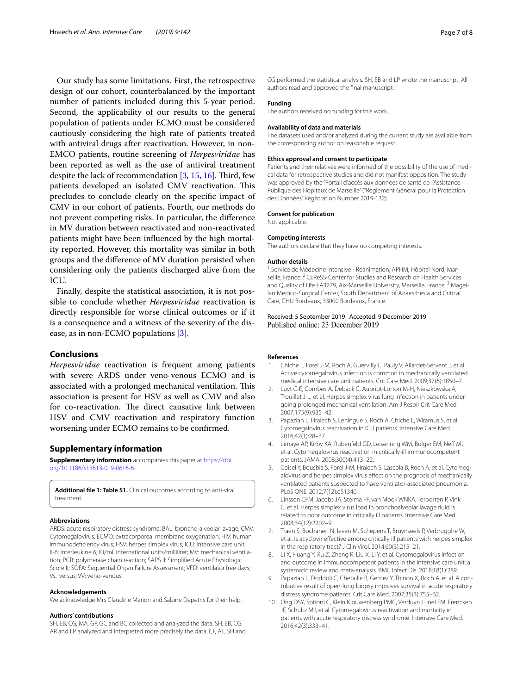Our study has some limitations. First, the retrospective design of our cohort, counterbalanced by the important number of patients included during this 5-year period. Second, the applicability of our results to the general population of patients under ECMO must be considered cautiously considering the high rate of patients treated with antiviral drugs after reactivation. However, in non-EMCO patients, routine screening of *Herpesviridae* has been reported as well as the use of antiviral treatment despite the lack of recommendation  $[3, 15, 16]$  $[3, 15, 16]$  $[3, 15, 16]$  $[3, 15, 16]$  $[3, 15, 16]$  $[3, 15, 16]$ . Third, few patients developed an isolated CMV reactivation. This precludes to conclude clearly on the specifc impact of CMV in our cohort of patients. Fourth, our methods do not prevent competing risks. In particular, the diference in MV duration between reactivated and non-reactivated patients might have been infuenced by the high mortality reported. However, this mortality was similar in both groups and the diference of MV duration persisted when considering only the patients discharged alive from the ICU.

Finally, despite the statistical association, it is not possible to conclude whether *Herpesviridae* reactivation is directly responsible for worse clinical outcomes or if it is a consequence and a witness of the severity of the disease, as in non-ECMO populations [[3\]](#page-6-2).

## **Conclusions**

*Herpesviridae* reactivation is frequent among patients with severe ARDS under veno-venous ECMO and is associated with a prolonged mechanical ventilation. This association is present for HSV as well as CMV and also for co-reactivation. The direct causative link between HSV and CMV reactivation and respiratory function worsening under ECMO remains to be confrmed.

## **Supplementary information**

**Supplementary information** accompanies this paper at [https://doi.](https://doi.org/10.1186/s13613-019-0616-6) [org/10.1186/s13613-019-0616-6.](https://doi.org/10.1186/s13613-019-0616-6)

<span id="page-6-10"></span>**Additional fle 1: Table S1.** Clinical outcomes according to anti-viral treatment.

#### **Abbreviations**

ARDS: acute respiratory distress syndrome; BAL: broncho-alveolar lavage; CMV: Cytomegalovirus; ECMO: extracorporeal membrane oxygenation; HIV: human immunodefciency virus; HSV: herpes simplex virus; ICU: intensive care unit; Il-6: interleukine 6; IU/ml: international units/milliliter; MV: mechanical ventilation; PCR: polymerase chain reaction; SAPS II: Simplifed Acute Physiologic Score II; SOFA: Sequential Organ Failure Assessment; VFD: ventilator free days; Vs.: versus; VV: veno-venous.

#### **Acknowledgements**

We acknowledge Mrs Claudine Marion and Sabine Depetris for their help.

#### **Authors' contributions**

SH, EB, CG, MA, GP, GC and BC collected and analyzed the data. SH, EB, CG, AR and LP analyzed and interpreted more precisely the data. CF, AL, SH and CG performed the statistical analysis. SH, EB and LP wrote the manuscript. All authors read and approved the fnal manuscript.

#### **Funding**

The authors received no funding for this work.

#### **Availability of data and materials**

The datasets used and/or analyzed during the current study are available from the corresponding author on reasonable request.

#### **Ethics approval and consent to participate**

Patients and their relatives were informed of the possibility of the use of medical data for retrospective studies and did not manifest opposition. The study was approved by the "Portail d'accès aux données de santé de l'Assistance Publique des Hopitaux de Marseille" ("Règlement Général pour la Protection des Données" Registration Number 2019-132).

#### **Consent for publication**

Not applicable.

#### **Competing interests**

The authors declare that they have no competing interests.

#### **Author details**

<sup>1</sup> Service de Médecine Intensive - Réanimation, APHM, Hôpital Nord, Marseille, France.<sup>2</sup> CEReSS-Center for Studies and Research on Health Services and Quality of Life EA3279, Aix-Marseille University, Marseille, France.<sup>3</sup> Magellan Medico‑Surgical Center, South Department of Anaesthesia and Critical Care, CHU Bordeaux, 33000 Bordeaux, France.

# Received: 5 September 2019 Accepted: 9 December 2019

#### **References**

- <span id="page-6-0"></span>Chiche L, Forel J-M, Roch A, Guervilly C, Pauly V, Allardet-Servent J, et al. Active cytomegalovirus infection is common in mechanically ventilated medical intensive care unit patients. Crit Care Med. 2009;37(6):1850–7.
- <span id="page-6-1"></span>2. Luyt C-E, Combes A, Deback C, Aubriot-Lorton M-H, Nieszkowska A, Trouillet J-L, et al. Herpes simplex virus lung infection in patients under‑ going prolonged mechanical ventilation. Am J Respir Crit Care Med. 2007;175(9):935–42.
- <span id="page-6-2"></span>3. Papazian L, Hraiech S, Lehingue S, Roch A, Chiche L, Wiramus S, et al. Cytomegalovirus reactivation in ICU patients. Intensive Care Med. 2016;42(1):28–37.
- <span id="page-6-3"></span>4. Limaye AP, Kirby KA, Rubenfeld GD, Leisenring WM, Bulger EM, Neff MJ, et al. Cytomegalovirus reactivation in critically-ill immunocompetent patients. JAMA. 2008;300(4):413–22.
- <span id="page-6-4"></span>5. Coisel Y, Bousbia S, Forel J-M, Hraiech S, Lascola B, Roch A, et al. Cytomegalovirus and herpes simplex virus effect on the prognosis of mechanically ventilated patients suspected to have ventilator-associated pneumonia. PLoS ONE. 2012;7(12):e51340.
- <span id="page-6-5"></span>6. Linssen CFM, Jacobs JA, Stelma FF, van Mook WNKA, Terporten P, Vink C, et al. Herpes simplex virus load in bronchoalveolar lavage fuid is related to poor outcome in critically ill patients. Intensive Care Med. 2008;34(12):2202–9.
- <span id="page-6-6"></span>7. Traen S, Bochanen N, Ieven M, Schepens T, Bruynseels P, Verbrugghe W, et al. Is acyclovir effective among critically ill patients with herpes simplex in the respiratory tract? J Clin Virol. 2014;60(3):215–21.
- <span id="page-6-7"></span>8. Li X, Huang Y, Xu Z, Zhang R, Liu X, Li Y, et al. Cytomegalovirus infection and outcome in immunocompetent patients in the intensive care unit: a systematic review and meta-analysis. BMC Infect Dis. 2018;18(1):289.
- <span id="page-6-8"></span>Papazian L, Doddoli C, Chetaille B, Gernez Y, Thirion X, Roch A, et al. A contributive result of open-lung biopsy improves survival in acute respiratory distress syndrome patients. Crit Care Med. 2007;35(3):755–62.
- <span id="page-6-9"></span>10. Ong DSY, Spitoni C, Klein Klouwenberg PMC, Verduyn Lunel FM, Frencken JF, Schultz MJ, et al. Cytomegalovirus reactivation and mortality in patients with acute respiratory distress syndrome. Intensive Care Med. 2016;42(3):333–41.